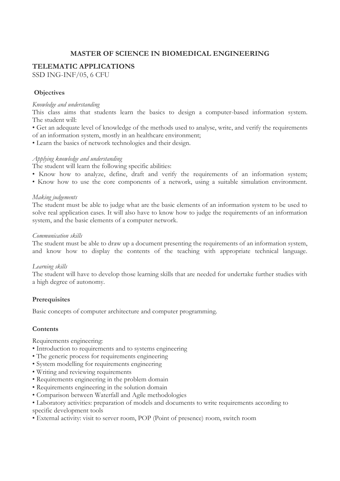# **MASTER OF SCIENCE IN BIOMEDICAL ENGINEERING**

## **TELEMATIC APPLICATIONS**

SSD ING-INF/05, 6 CFU

## **Objectives**

#### *Knowledge and understanding*

This class aims that students learn the basics to design a computer-based information system. The student will:

• Get an adequate level of knowledge of the methods used to analyse, write, and verify the requirements of an information system, mostly in an healthcare environment;

• Learn the basics of network technologies and their design.

#### *Applying knowledge and understanding*

The student will learn the following specific abilities:

- Know how to analyze, define, draft and verify the requirements of an information system;
- Know how to use the core components of a network, using a suitable simulation environment.

#### *Making judgements*

The student must be able to judge what are the basic elements of an information system to be used to solve real application cases. It will also have to know how to judge the requirements of an information system, and the basic elements of a computer network.

#### *Communication skills*

The student must be able to draw up a document presenting the requirements of an information system, and know how to display the contents of the teaching with appropriate technical language.

### *Learning skills*

The student will have to develop those learning skills that are needed for undertake further studies with a high degree of autonomy.

### **Prerequisites**

Basic concepts of computer architecture and computer programming.

### **Contents**

Requirements engineering:

- Introduction to requirements and to systems engineering
- The generic process for requirements engineering
- System modelling for requirements engineering
- Writing and reviewing requirements
- Requirements engineering in the problem domain
- Requirements engineering in the solution domain
- Comparison between Waterfall and Agile methodologies
- Laboratory activities: preparation of models and documents to write requirements according to specific development tools
- External activity: visit to server room, POP (Point of presence) room, switch room